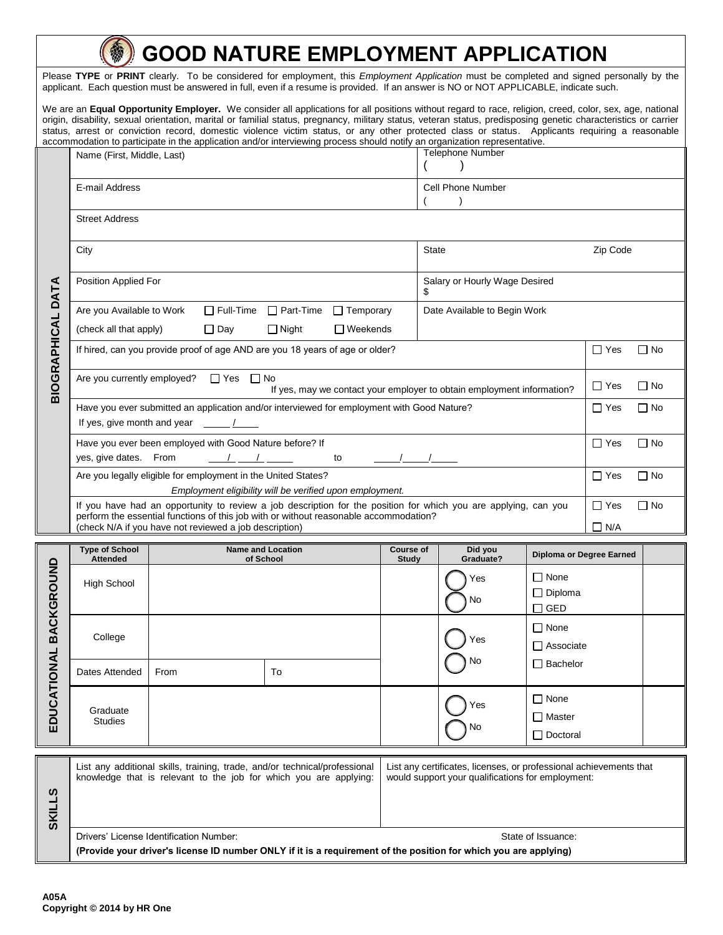## **GOOD NATURE EMPLOYMENT APPLICATION**

Please **TYPE** or **PRINT** clearly. To be considered for employment, this *Employment Application* must be completed and signed personally by the applicant. Each question must be answered in full, even if a resume is provided. If an answer is NO or NOT APPLICABLE, indicate such.

We are an **Equal Opportunity Employer.** We consider all applications for all positions without regard to race, religion, creed, color, sex, age, national origin, disability, sexual orientation, marital or familial status, pregnancy, military status, veteran status, predisposing genetic characteristics or carrier status, arrest or conviction record, domestic violence victim status, or any other protected class or status. Applicants requiring a reasonable accommodation to participate in the application and/or interviewing process should notify an organization representative.

|                          | accommodation to participate in the application and/or interviewing process should notify an organization representative.                                                                                                                                          |                                       |  |    |                           |           |                                |                                 |                                                 |                          |           |
|--------------------------|--------------------------------------------------------------------------------------------------------------------------------------------------------------------------------------------------------------------------------------------------------------------|---------------------------------------|--|----|---------------------------|-----------|--------------------------------|---------------------------------|-------------------------------------------------|--------------------------|-----------|
|                          | Name (First, Middle, Last)                                                                                                                                                                                                                                         |                                       |  |    |                           |           | <b>Telephone Number</b>        |                                 |                                                 |                          |           |
|                          | E-mail Address                                                                                                                                                                                                                                                     |                                       |  |    |                           |           | Cell Phone Number<br>$\lambda$ |                                 |                                                 |                          |           |
|                          | <b>Street Address</b>                                                                                                                                                                                                                                              |                                       |  |    |                           |           |                                |                                 |                                                 |                          |           |
| <b>BIOGRAPHICAL DATA</b> | City                                                                                                                                                                                                                                                               |                                       |  |    |                           |           | <b>State</b>                   |                                 |                                                 | Zip Code                 |           |
|                          | Position Applied For                                                                                                                                                                                                                                               |                                       |  |    |                           |           | Salary or Hourly Wage Desired  |                                 |                                                 |                          |           |
|                          | □ Full-Time □ Part-Time □ Temporary<br>Are you Available to Work                                                                                                                                                                                                   |                                       |  |    |                           |           | Date Available to Begin Work   |                                 |                                                 |                          |           |
|                          | (check all that apply)<br>$\Box$ Day<br>$\Box$ Night<br>$\Box$ Weekends                                                                                                                                                                                            |                                       |  |    |                           |           |                                |                                 |                                                 |                          |           |
|                          | If hired, can you provide proof of age AND are you 18 years of age or older?                                                                                                                                                                                       |                                       |  |    |                           |           | $\Box$ Yes                     | $\Box$ No                       |                                                 |                          |           |
|                          | Are you currently employed? □ Yes □ No<br>If yes, may we contact your employer to obtain employment information?                                                                                                                                                   |                                       |  |    |                           |           |                                | $\Box$ Yes                      | $\Box$ No                                       |                          |           |
|                          | Have you ever submitted an application and/or interviewed for employment with Good Nature?<br>If yes, give month and year $\underline{\hspace{1cm}}$ $\underline{\hspace{1cm}}$                                                                                    |                                       |  |    |                           |           | $\Box$ Yes                     | $\Box$ No                       |                                                 |                          |           |
|                          | Have you ever been employed with Good Nature before? If<br>yes, give dates. From<br>$\frac{1}{\sqrt{2}}$ $\frac{1}{\sqrt{2}}$<br>to                                                                                                                                |                                       |  |    |                           |           | $\Box$ Yes                     | $\Box$ No                       |                                                 |                          |           |
|                          | Are you legally eligible for employment in the United States?<br>Employment eligibility will be verified upon employment.                                                                                                                                          |                                       |  |    |                           |           | $\Box$ Yes                     | $\Box$ No                       |                                                 |                          |           |
|                          | If you have had an opportunity to review a job description for the position for which you are applying, can you<br>perform the essential functions of this job with or without reasonable accommodation?<br>(check N/A if you have not reviewed a job description) |                                       |  |    |                           |           |                                |                                 |                                                 | $\Box$ Yes<br>$\Box$ N/A | $\Box$ No |
|                          | <b>Type of School</b><br>Attended                                                                                                                                                                                                                                  | <b>Name and Location</b><br>of School |  |    | Course of<br><b>Study</b> |           | Did you<br>Graduate?           |                                 | Diploma or Degree Earned                        |                          |           |
| EDUCATIONAL BACKGROUND   | <b>High School</b>                                                                                                                                                                                                                                                 |                                       |  |    |                           |           |                                | Yes<br>No                       | $\Box$ None<br>$\Box$ Diploma<br>$\square$ GED  |                          |           |
|                          | College                                                                                                                                                                                                                                                            |                                       |  |    |                           | Yes<br>No |                                | $\Box$ None<br>$\Box$ Associate |                                                 |                          |           |
|                          | Dates Attended                                                                                                                                                                                                                                                     | From                                  |  | To |                           |           |                                |                                 | $\Box$ Bachelor                                 |                          |           |
|                          | Graduate<br><b>Studies</b>                                                                                                                                                                                                                                         |                                       |  |    |                           |           |                                | Yes<br>No                       | $\Box$ None<br>$\Box$ Master<br>$\Box$ Doctoral |                          |           |

| ທ | List any additional skills, training, trade, and/or technical/professional                                                                                                        | List any certificates, licenses, or professional achievements that |  |  |  |
|---|-----------------------------------------------------------------------------------------------------------------------------------------------------------------------------------|--------------------------------------------------------------------|--|--|--|
| ທ | knowledge that is relevant to the job for which you are applying:                                                                                                                 | would support your qualifications for employment:                  |  |  |  |
|   | Drivers' License Identification Number:<br>State of Issuance:<br>(Provide your driver's license ID number ONLY if it is a requirement of the position for which you are applying) |                                                                    |  |  |  |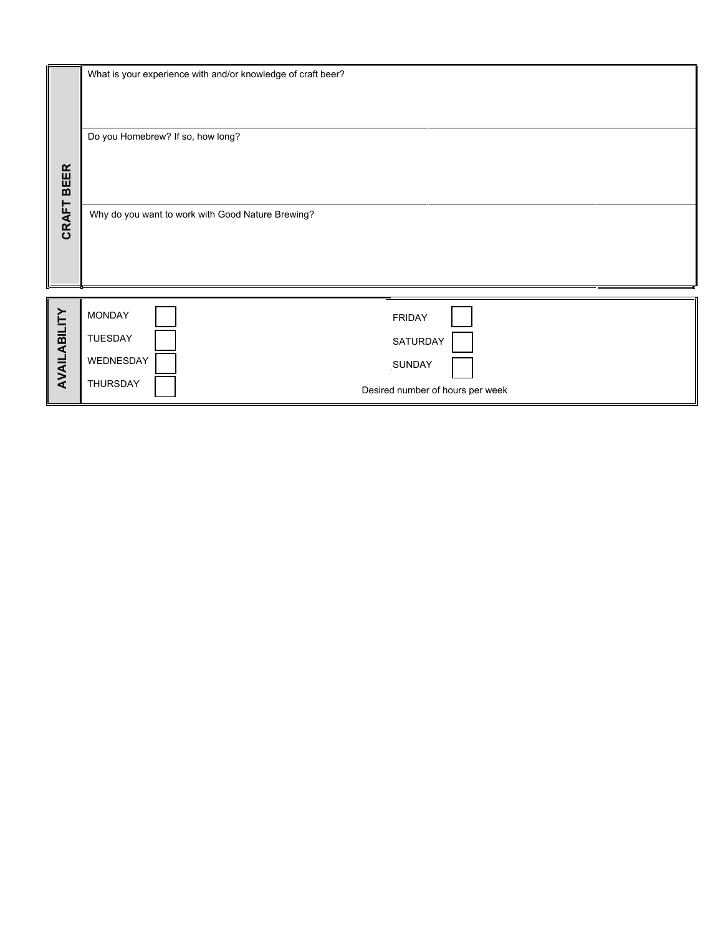| <b>BEER</b>  |                                                   | What is your experience with and/or knowledge of craft beer? |  |  |  |
|--------------|---------------------------------------------------|--------------------------------------------------------------|--|--|--|
|              | Do you Homebrew? If so, how long?                 |                                                              |  |  |  |
| CRAFT        | Why do you want to work with Good Nature Brewing? |                                                              |  |  |  |
|              | <b>MONDAY</b>                                     | <b>FRIDAY</b>                                                |  |  |  |
| AVAILABILITY | <b>TUESDAY</b>                                    | SATURDAY                                                     |  |  |  |
|              | WEDNESDAY                                         | SUNDAY                                                       |  |  |  |
|              | THURSDAY                                          | Desired number of hours per week                             |  |  |  |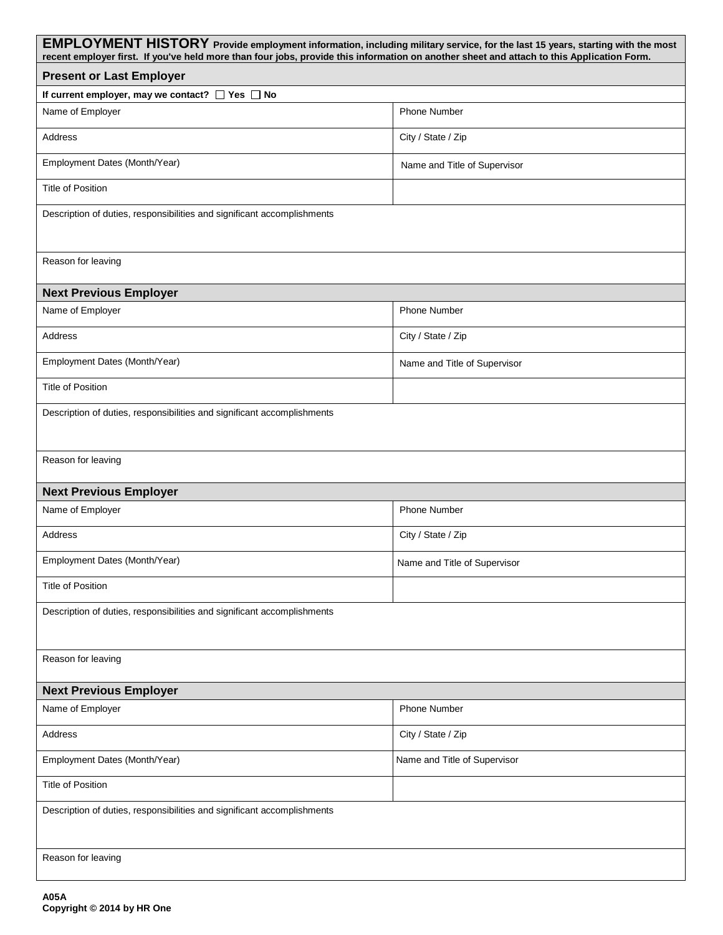| EMPLOYMENT HISTORY Provide employment information, including military service, for the last 15 years, starting with the most<br>recent employer first. If you've held more than four jobs, provide this information on another sheet and attach to this Application Form. |                              |  |  |  |  |
|---------------------------------------------------------------------------------------------------------------------------------------------------------------------------------------------------------------------------------------------------------------------------|------------------------------|--|--|--|--|
| <b>Present or Last Employer</b>                                                                                                                                                                                                                                           |                              |  |  |  |  |
| If current employer, may we contact? □ Yes □ No                                                                                                                                                                                                                           |                              |  |  |  |  |
| Name of Employer                                                                                                                                                                                                                                                          | <b>Phone Number</b>          |  |  |  |  |
| <b>Address</b>                                                                                                                                                                                                                                                            | City / State / Zip           |  |  |  |  |
| Employment Dates (Month/Year)                                                                                                                                                                                                                                             | Name and Title of Supervisor |  |  |  |  |
| <b>Title of Position</b>                                                                                                                                                                                                                                                  |                              |  |  |  |  |
| Description of duties, responsibilities and significant accomplishments                                                                                                                                                                                                   |                              |  |  |  |  |
| Reason for leaving                                                                                                                                                                                                                                                        |                              |  |  |  |  |
| <b>Next Previous Employer</b>                                                                                                                                                                                                                                             |                              |  |  |  |  |
| Name of Employer                                                                                                                                                                                                                                                          | <b>Phone Number</b>          |  |  |  |  |
| Address                                                                                                                                                                                                                                                                   | City / State / Zip           |  |  |  |  |
| Employment Dates (Month/Year)                                                                                                                                                                                                                                             | Name and Title of Supervisor |  |  |  |  |
| <b>Title of Position</b>                                                                                                                                                                                                                                                  |                              |  |  |  |  |
| Description of duties, responsibilities and significant accomplishments                                                                                                                                                                                                   |                              |  |  |  |  |
| Reason for leaving                                                                                                                                                                                                                                                        |                              |  |  |  |  |
| <b>Next Previous Employer</b>                                                                                                                                                                                                                                             |                              |  |  |  |  |
| Name of Employer                                                                                                                                                                                                                                                          | <b>Phone Number</b>          |  |  |  |  |
| <b>Address</b>                                                                                                                                                                                                                                                            | City / State / Zip           |  |  |  |  |
| Employment Dates (Month/Year)                                                                                                                                                                                                                                             | Name and Title of Supervisor |  |  |  |  |
| <b>Title of Position</b>                                                                                                                                                                                                                                                  |                              |  |  |  |  |
| Description of duties, responsibilities and significant accomplishments                                                                                                                                                                                                   |                              |  |  |  |  |
| Reason for leaving                                                                                                                                                                                                                                                        |                              |  |  |  |  |
| <b>Next Previous Employer</b>                                                                                                                                                                                                                                             |                              |  |  |  |  |
| Name of Employer                                                                                                                                                                                                                                                          | Phone Number                 |  |  |  |  |
| Address                                                                                                                                                                                                                                                                   | City / State / Zip           |  |  |  |  |
| Employment Dates (Month/Year)                                                                                                                                                                                                                                             | Name and Title of Supervisor |  |  |  |  |
| <b>Title of Position</b>                                                                                                                                                                                                                                                  |                              |  |  |  |  |
| Description of duties, responsibilities and significant accomplishments                                                                                                                                                                                                   |                              |  |  |  |  |
| Reason for leaving                                                                                                                                                                                                                                                        |                              |  |  |  |  |